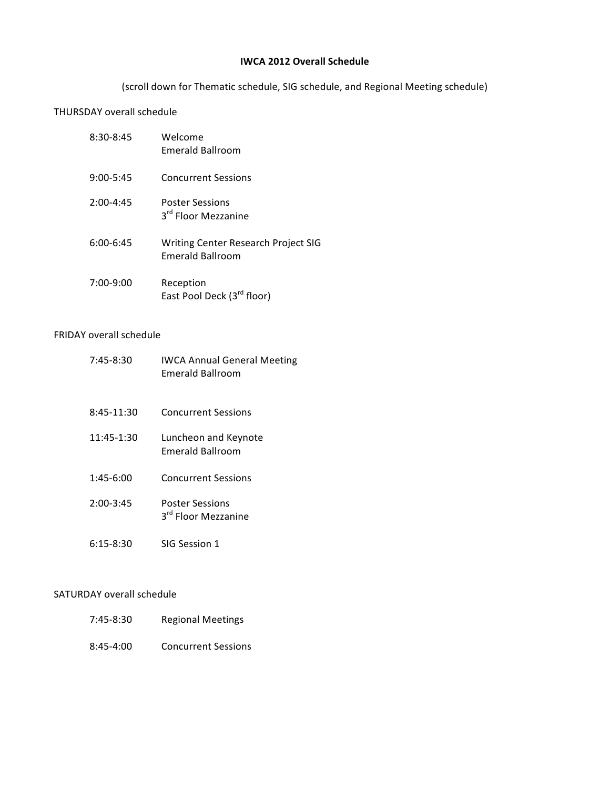## **IWCA 2012 Overall Schedule**

(scroll down for Thematic schedule, SIG schedule, and Regional Meeting schedule)

# THURSDAY overall schedule

| $8:30-8:45$   | Welcome<br><b>Emerald Ballroom</b>                             |
|---------------|----------------------------------------------------------------|
| $9:00 - 5:45$ | <b>Concurrent Sessions</b>                                     |
| $2:00-4:45$   | <b>Poster Sessions</b><br>3rd Floor Mezzanine                  |
| $6:00-6:45$   | Writing Center Research Project SIG<br><b>Emerald Ballroom</b> |
| $7:00-9:00$   | Reception<br>East Pool Deck (3 <sup>rd</sup> floor)            |

# FRIDAY overall schedule

| $7:45-8:30$   | <b>IWCA Annual General Meeting</b><br><b>Emerald Ballroom</b> |
|---------------|---------------------------------------------------------------|
| 8:45-11:30    | <b>Concurrent Sessions</b>                                    |
| 11:45-1:30    | Luncheon and Keynote<br><b>Emerald Ballroom</b>               |
| $1:45-6:00$   | <b>Concurrent Sessions</b>                                    |
| $2:00 - 3:45$ | <b>Poster Sessions</b><br>3rd Floor Mezzanine                 |
| $6:15 - 8:30$ | SIG Session 1                                                 |

# SATURDAY overall schedule

| 7:45-8:30     | <b>Regional Meetings</b>   |
|---------------|----------------------------|
| $8:45 - 4:00$ | <b>Concurrent Sessions</b> |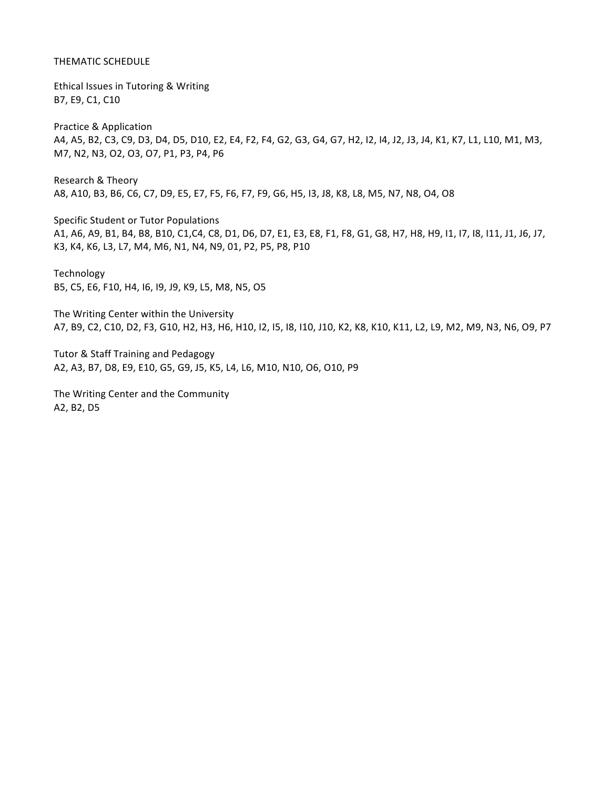### THEMATIC SCHEDULE

Ethical Issues in Tutoring & Writing B7, E9, C1, C10

Practice & Application A4, A5, B2, C3, C9, D3, D4, D5, D10, E2, E4, F2, F4, G2, G3, G4, G7, H2, I2, I4, J2, J3, J4, K1, K7, L1, L10, M1, M3, M7, N2, N3, O2, O3, O7, P1, P3, P4, P6

Research & Theory A8, A10, B3, B6, C6, C7, D9, E5, E7, F5, F6, F7, F9, G6, H5, I3, J8, K8, L8, M5, N7, N8, O4, O8

Specific Student or Tutor Populations A1, A6, A9, B1, B4, B8, B10, C1, C4, C8, D1, D6, D7, E1, E3, E8, F1, F8, G1, G8, H7, H8, H9, I1, I7, I8, I11, J1, J6, J7, K3, K4, K6, L3, L7, M4, M6, N1, N4, N9, 01, P2, P5, P8, P10

Technology B5, C5, E6, F10, H4, 16, 19, J9, K9, L5, M8, N5, O5

The Writing Center within the University A7, B9, C2, C10, D2, F3, G10, H2, H3, H6, H10, I2, I5, I8, I10, J10, K2, K8, K10, K11, L2, L9, M2, M9, N3, N6, O9, P7

Tutor & Staff Training and Pedagogy A2, A3, B7, D8, E9, E10, G5, G9, J5, K5, L4, L6, M10, N10, O6, O10, P9

The Writing Center and the Community A2, B2, D5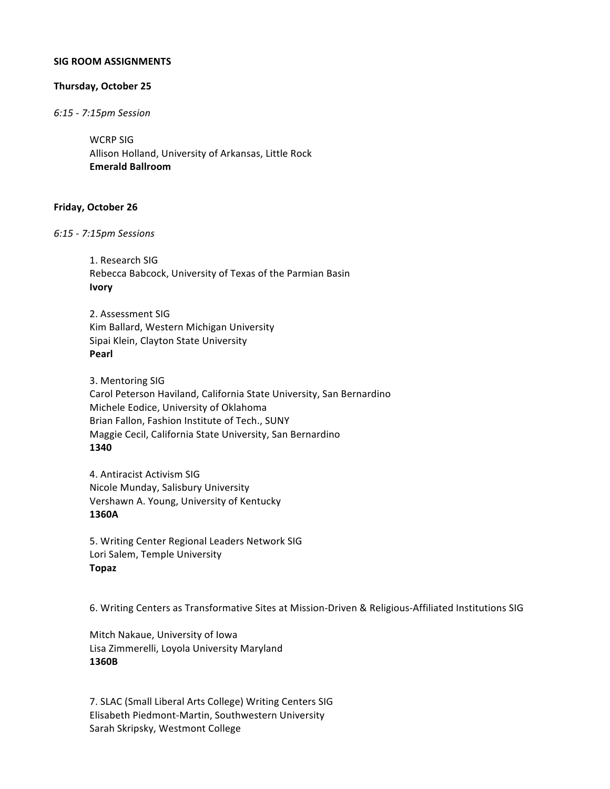#### **SIG ROOM ASSIGNMENTS**

### **Thursday, October 25**

*6:15 & 7:15pm Session*

WCRP SIG Allison Holland, University of Arkansas, Little Rock **Emerald%Ballroom**

### **Friday, October 26**

*6:15%& 7:15pm Sessions*

1. Research SIG Rebecca Babcock, University of Texas of the Parmian Basin **Ivory**

2. Assessment SIG Kim Ballard, Western Michigan University Sipai Klein, Clayton State University **Pearl**

3. Mentoring SIG Carol Peterson Haviland, California State University, San Bernardino Michele Eodice, University of Oklahoma Brian Fallon, Fashion Institute of Tech., SUNY Maggie Cecil, California State University, San Bernardino **1340**

4. Antiracist Activism SIG Nicole Munday, Salisbury University Vershawn A. Young, University of Kentucky **1360A**

5. Writing Center Regional Leaders Network SIG Lori Salem, Temple University **Topaz**

6. Writing Centers as Transformative Sites at Mission-Driven & Religious-Affiliated Institutions SIG

Mitch Nakaue, University of Iowa Lisa Zimmerelli, Loyola University Maryland **1360B**

7. SLAC (Small Liberal Arts College) Writing Centers SIG Elisabeth Piedmont-Martin, Southwestern University Sarah Skripsky, Westmont College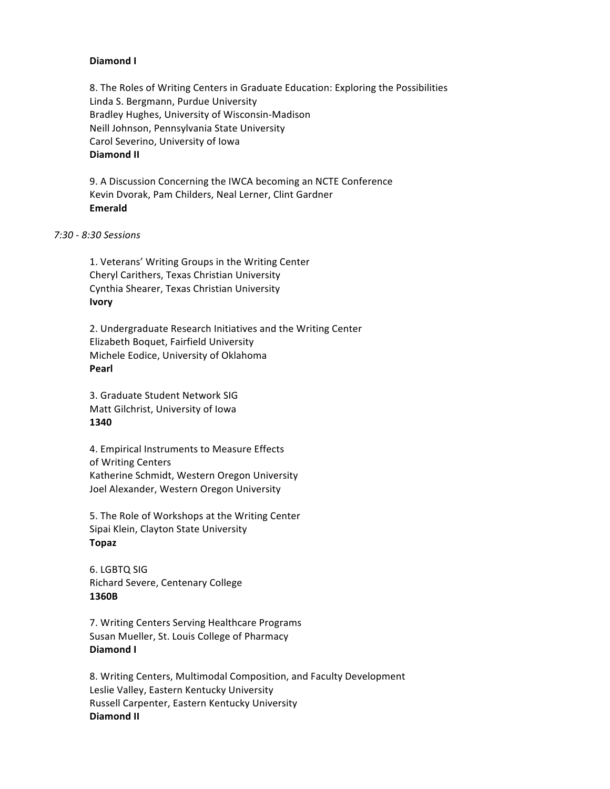### **Diamond I**

8. The Roles of Writing Centers in Graduate Education: Exploring the Possibilities Linda S. Bergmann, Purdue University Bradley Hughes, University of Wisconsin-Madison Neill Johnson, Pennsylvania State University Carol Severino, University of Iowa **Diamond II** 

9. A Discussion Concerning the IWCA becoming an NCTE Conference Kevin Dvorak, Pam Childers, Neal Lerner, Clint Gardner **Emerald**

*7:30%& 8:30%Sessions*

1. Veterans' Writing Groups in the Writing Center Cheryl Carithers, Texas Christian University Cynthia Shearer, Texas Christian University **Ivory**

2. Undergraduate Research Initiatives and the Writing Center Elizabeth Boquet, Fairfield University Michele Eodice, University of Oklahoma **Pearl**

3. Graduate Student Network SIG Matt Gilchrist, University of Iowa **1340**

4. Empirical Instruments to Measure Effects of Writing Centers Katherine Schmidt, Western Oregon University Joel Alexander, Western Oregon University

5. The Role of Workshops at the Writing Center Sipai Klein, Clayton State University **Topaz**

6. LGBTQ SIG Richard Severe, Centenary College **1360B**

7. Writing Centers Serving Healthcare Programs Susan Mueller, St. Louis College of Pharmacy Diamond I

8. Writing Centers, Multimodal Composition, and Faculty Development Leslie Valley, Eastern Kentucky University Russell Carpenter, Eastern Kentucky University **Diamond II**